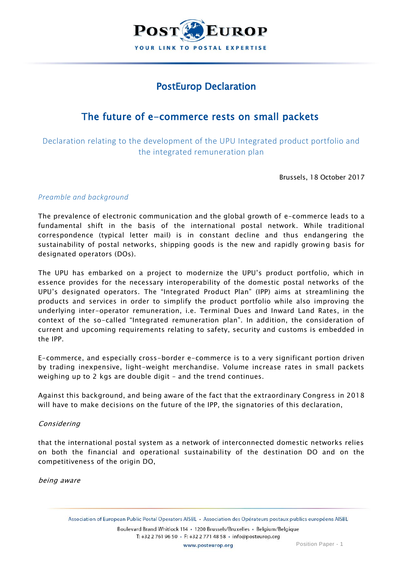

# PostEurop Declaration

# The future of e-commerce rests on small packets

Declaration relating to the development of the UPU Integrated product portfolio and the integrated remuneration plan

Brussels, 18 October 2017

### *Preamble and background*

The prevalence of electronic communication and the global growth of e-commerce leads to a fundamental shift in the basis of the international postal network. While traditional correspondence (typical letter mail) is in constant decline and thus endangering the sustainability of postal networks, shipping goods is the new and rapidly growing basis for designated operators (DOs).

The UPU has embarked on a project to modernize the UPU's product portfolio, which in essence provides for the necessary interoperability of the domestic postal networks of the UPU's designated operators. The "Integrated Product Plan" (IPP) aims at streamlining the products and services in order to simplify the product portfolio while also improving the underlying inter-operator remuneration, i.e. Terminal Dues and Inward Land Rates, in the context of the so-called "Integrated remuneration plan". In addition, the consideration of current and upcoming requirements relating to safety, security and customs is embedded in the IPP.

E-commerce, and especially cross-border e-commerce is to a very significant portion driven by trading inexpensive, light-weight merchandise. Volume increase rates in small packets weighing up to 2 kgs are double digit – and the trend continues.

Against this background, and being aware of the fact that the extraordinary Congress in 2018 will have to make decisions on the future of the IPP, the signatories of this declaration,

### Considering

that the international postal system as a network of interconnected domestic networks relies on both the financial and operational sustainability of the destination DO and on the competitiveness of the origin DO,

being aware

Association of European Public Postal Operators AISBL · Association des Opérateurs postaux publics européens AISBL

Boulevard Brand Whitlock 114 · 1200 Brussels/Bruxelles · Belgium/Belgique T: +32 2 761 96 50 · F: +32 2 771 48 58 · info@posteurop.org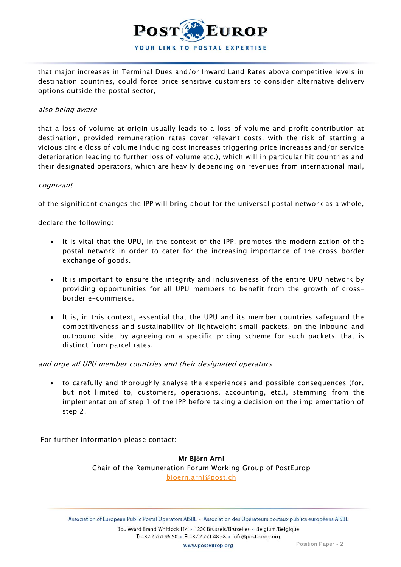

that major increases in Terminal Dues and/or Inward Land Rates above competitive levels in destination countries, could force price sensitive customers to consider alternative delivery options outside the postal sector,

#### also being aware

that a loss of volume at origin usually leads to a loss of volume and profit contribution at destination, provided remuneration rates cover relevant costs, with the risk of starting a vicious circle (loss of volume inducing cost increases triggering price increases and/or service deterioration leading to further loss of volume etc.), which will in particular hit countries and their designated operators, which are heavily depending on revenues from international mail,

#### cognizant

of the significant changes the IPP will bring about for the universal postal network as a whole,

declare the following:

- It is vital that the UPU, in the context of the IPP, promotes the modernization of the postal network in order to cater for the increasing importance of the cross border exchange of goods.
- It is important to ensure the integrity and inclusiveness of the entire UPU network by providing opportunities for all UPU members to benefit from the growth of crossborder e-commerce.
- It is, in this context, essential that the UPU and its member countries safeguard the competitiveness and sustainability of lightweight small packets, on the inbound and outbound side, by agreeing on a specific pricing scheme for such packets, that is distinct from parcel rates.

and urge all UPU member countries and their designated operators

 to carefully and thoroughly analyse the experiences and possible consequences (for, but not limited to, customers, operations, accounting, etc.), stemming from the implementation of step 1 of the IPP before taking a decision on the implementation of step 2.

For further information please contact:

Mr Bj**ö**rn Arni

Chair of the Remuneration Forum Working Group of PostEurop [bjoern.arni@post.ch](mailto:bjoern.arni@post.ch)

Association of European Public Postal Operators AISBL · Association des Opérateurs postaux publics européens AISBL Boulevard Brand Whitlock 114 · 1200 Brussels/Bruxelles · Belgium/Belgique

T: +32 2 761 96 50 · F: +32 2 771 48 58 · info@posteurop.org